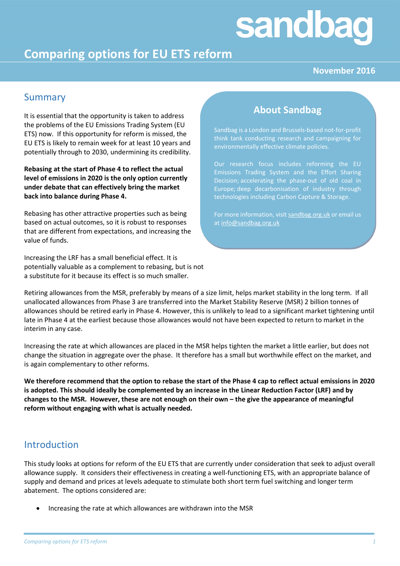# sandbag

## **Comparing options for EU ETS reform**

## **November 2016**

## Summary

It is essential that the opportunity is taken to address the problems of the EU Emissions Trading System (EU ETS) now. If this opportunity for reform is missed, the EU ETS is likely to remain week for at least 10 years and potentially through to 2030, undermining its credibility.

**Rebasing at the start of Phase 4 to reflect the actual level of emissions in 2020 is the only option currently under debate that can effectively bring the market back into balance during Phase 4.**

Rebasing has other attractive properties such as being based on actual outcomes, so it is robust to responses that are different from expectations, and increasing the value of funds.

Increasing the LRF has a small beneficial effect. It is potentially valuable as a complement to rebasing, but is not a substitute for it because its effect is so much smaller.

## **About Sandbag**

Sandbag is a London and Brussels-based not-for-profit think tank conducting research and campaigning for environmentally effective climate policies.

Our research focus includes reforming the EU Emissions Trading System and the Effort Sharing Decision; accelerating the phase-out of old coal in Europe; deep decarbonisation of industry through technologies including Carbon Capture & Storage.

For more information, visit [sandbag.org.uk](mailto:sandbag.org.uk) or email us a[t info@sandbag.org.uk](mailto:info@sandbag.org.uk)

Retiring allowances from the MSR, preferably by means of a size limit, helps market stability in the long term. If all unallocated allowances from Phase 3 are transferred into the Market Stability Reserve (MSR) 2 billion tonnes of allowances should be retired early in Phase 4. However, this is unlikely to lead to a significant market tightening until late in Phase 4 at the earliest because those allowances would not have been expected to return to market in the interim in any case.

Increasing the rate at which allowances are placed in the MSR helps tighten the market a little earlier, but does not change the situation in aggregate over the phase. It therefore has a small but worthwhile effect on the market, and is again complementary to other reforms.

**We therefore recommend that the option to rebase the start of the Phase 4 cap to reflect actual emissions in 2020 is adopted. This should ideally be complemented by an increase in the Linear Reduction Factor (LRF) and by changes to the MSR. However, these are not enough on their own – the give the appearance of meaningful reform without engaging with what is actually needed.**

## Introduction

This study looks at options for reform of the EU ETS that are currently under consideration that seek to adjust overall allowance supply. It considers their effectiveness in creating a well-functioning ETS, with an appropriate balance of supply and demand and prices at levels adequate to stimulate both short term fuel switching and longer term abatement. The options considered are:

Increasing the rate at which allowances are withdrawn into the MSR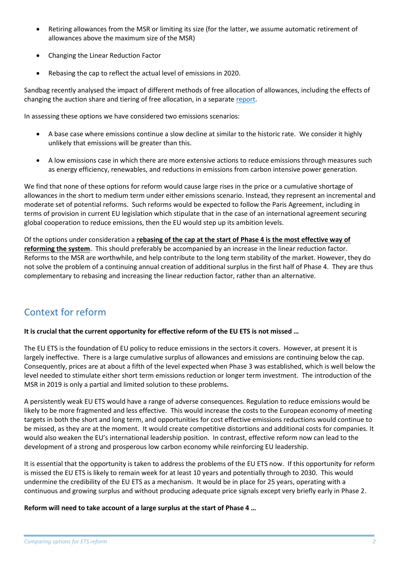- Retiring allowances from the MSR or limiting its size (for the latter, we assume automatic retirement of allowances above the maximum size of the MSR)
- Changing the Linear Reduction Factor
- Rebasing the cap to reflect the actual level of emissions in 2020.

Sandbag recently analysed the impact of different methods of free allocation of allowances, including the effects of changing the auction share and tiering of free allocation, in a separate [report.](https://sandbag.org.uk/reports/last-chance-saloon-eu-ets/)

In assessing these options we have considered two emissions scenarios:

- A base case where emissions continue a slow decline at similar to the historic rate. We consider it highly unlikely that emissions will be greater than this.
- A low emissions case in which there are more extensive actions to reduce emissions through measures such as energy efficiency, renewables, and reductions in emissions from carbon intensive power generation.

We find that none of these options for reform would cause large rises in the price or a cumulative shortage of allowances in the short to medium term under either emissions scenario. Instead, they represent an incremental and moderate set of potential reforms. Such reforms would be expected to follow the Paris Agreement, including in terms of provision in current EU legislation which stipulate that in the case of an international agreement securing global cooperation to reduce emissions, then the EU would step up its ambition levels.

Of the options under consideration a **rebasing of the cap at the start of Phase 4 is the most effective way of reforming the system**. This should preferably be accompanied by an increase in the linear reduction factor. Reforms to the MSR are worthwhile, and help contribute to the long term stability of the market. However, they do not solve the problem of a continuing annual creation of additional surplus in the first half of Phase 4. They are thus complementary to rebasing and increasing the linear reduction factor, rather than an alternative.

## Context for reform

## **It is crucial that the current opportunity for effective reform of the EU ETS is not missed …**

The EU ETS is the foundation of EU policy to reduce emissions in the sectors it covers. However, at present it is largely ineffective. There is a large cumulative surplus of allowances and emissions are continuing below the cap. Consequently, prices are at about a fifth of the level expected when Phase 3 was established, which is well below the level needed to stimulate either short term emissions reduction or longer term investment. The introduction of the MSR in 2019 is only a partial and limited solution to these problems.

A persistently weak EU ETS would have a range of adverse consequences. Regulation to reduce emissions would be likely to be more fragmented and less effective. This would increase the costs to the European economy of meeting targets in both the short and long term, and opportunities for cost effective emissions reductions would continue to be missed, as they are at the moment. It would create competitive distortions and additional costs for companies. It would also weaken the EU's international leadership position. In contrast, effective reform now can lead to the development of a strong and prosperous low carbon economy while reinforcing EU leadership.

It is essential that the opportunity is taken to address the problems of the EU ETS now. If this opportunity for reform is missed the EU ETS is likely to remain week for at least 10 years and potentially through to 2030. This would undermine the credibility of the EU ETS as a mechanism. It would be in place for 25 years, operating with a continuous and growing surplus and without producing adequate price signals except very briefly early in Phase 2.

**Reform will need to take account of a large surplus at the start of Phase 4 …**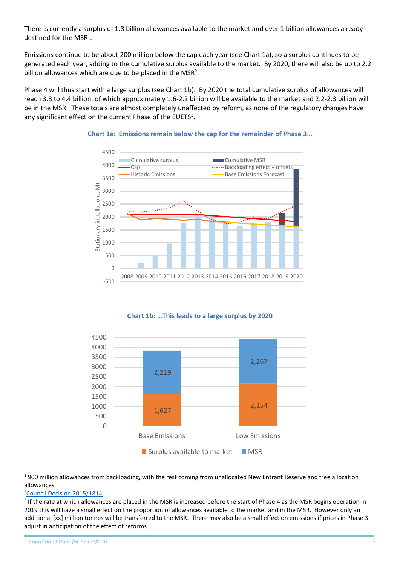There is currently a surplus of 1.8 billion allowances available to the market and over 1 billion allowances already destined for the MSR<sup>1</sup>.

Emissions continue to be about 200 million below the cap each year (see Chart 1a), so a surplus continues to be generated each year, adding to the cumulative surplus available to the market. By 2020, there will also be up to 2.2 billion allowances which are due to be placed in the  $MSR<sup>2</sup>$ .

Phase 4 will thus start with a large surplus (see Chart 1b). By 2020 the total cumulative surplus of allowances will reach 3.8 to 4.4 billion, of which approximately 1.6-2.2 billion will be available to the market and 2.2-2.3 billion will be in the MSR. These totals are almost completely unaffected by reform, as none of the regulatory changes have any significant effect on the current Phase of the EUETS<sup>3</sup>.



#### **Chart 1a: Emissions remain below the cap for the remainder of Phase 3…**

#### **Chart 1b: …This leads to a large surplus by 2020**



<sup>1</sup> 900 million allowances from backloading, with the rest coming from unallocated New Entrant Reserve and free allocation allowances

<sup>2</sup>[Council Decision 2015/1814](http://eur-lex.europa.eu/legal-content/EN/TXT/PDF/?uri=CELEX:32015D1814&from=EN)

**.** 

 $3$  If the rate at which allowances are placed in the MSR is increased before the start of Phase 4 as the MSR begins operation in 2019 this will have a small effect on the proportion of allowances available to the market and in the MSR. However only an additional [xx] million tonnes will be transferred to the MSR. There may also be a small effect on emissions if prices in Phase 3 adjust in anticipation of the effect of reforms.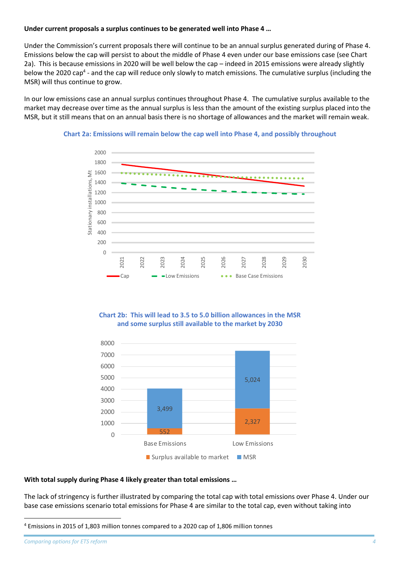#### **Under current proposals a surplus continues to be generated well into Phase 4 …**

Under the Commission's current proposals there will continue to be an annual surplus generated during of Phase 4. Emissions below the cap will persist to about the middle of Phase 4 even under our base emissions case (see Chart 2a). This is because emissions in 2020 will be well below the cap – indeed in 2015 emissions were already slightly below the 2020 cap<sup>4</sup> - and the cap will reduce only slowly to match emissions. The cumulative surplus (including the MSR) will thus continue to grow.

In our low emissions case an annual surplus continues throughout Phase 4. The cumulative surplus available to the market may decrease over time as the annual surplus is less than the amount of the existing surplus placed into the MSR, but it still means that on an annual basis there is no shortage of allowances and the market will remain weak.





#### **Chart 2b: This will lead to 3.5 to 5.0 billion allowances in the MSR and some surplus still available to the market by 2030**



#### **With total supply during Phase 4 likely greater than total emissions …**

The lack of stringency is further illustrated by comparing the total cap with total emissions over Phase 4. Under our base case emissions scenario total emissions for Phase 4 are similar to the total cap, even without taking into

**.** 

<sup>4</sup> Emissions in 2015 of 1,803 million tonnes compared to a 2020 cap of 1,806 million tonnes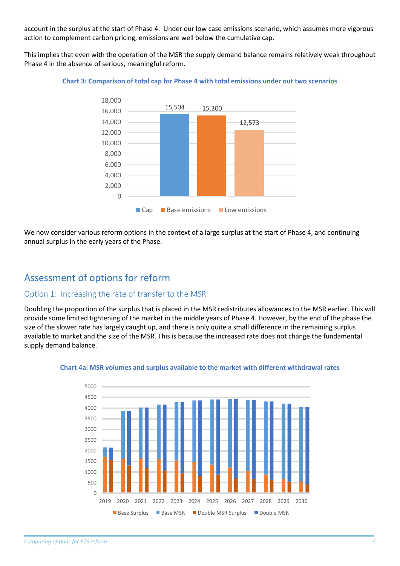account in the surplus at the start of Phase 4. Under our low case emissions scenario, which assumes more vigorous action to complement carbon pricing, emissions are well below the cumulative cap.

This implies that even with the operation of the MSR the supply demand balance remains relatively weak throughout Phase 4 in the absence of serious, meaningful reform.



#### **Chart 3: Comparison of total cap for Phase 4 with total emissions under out two scenarios**

We now consider various reform options in the context of a large surplus at the start of Phase 4, and continuing annual surplus in the early years of the Phase.

## Assessment of options for reform

## Option 1: increasing the rate of transfer to the MSR

Doubling the proportion of the surplus that is placed in the MSR redistributes allowances to the MSR earlier. This will provide some limited tightening of the market in the middle years of Phase 4. However, by the end of the phase the size of the slower rate has largely caught up, and there is only quite a small difference in the remaining surplus available to market and the size of the MSR. This is because the increased rate does not change the fundamental supply demand balance.



#### **Chart 4a: MSR volumes and surplus available to the market with different withdrawal rates**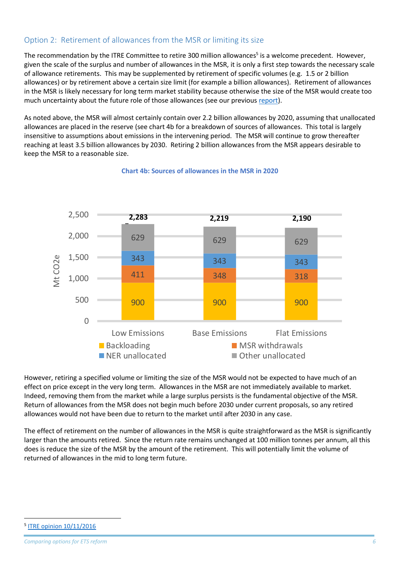## Option 2: Retirement of allowances from the MSR or limiting its size

The recommendation by the ITRE Committee to retire 300 million allowances<sup>5</sup> is a welcome precedent. However, given the scale of the surplus and number of allowances in the MSR, it is only a first step towards the necessary scale of allowance retirements. This may be supplemented by retirement of specific volumes (e.g. 1.5 or 2 billion allowances) or by retirement above a certain size limit (for example a billion allowances). Retirement of allowances in the MSR is likely necessary for long term market stability because otherwise the size of the MSR would create too much uncertainty about the future role of those allowances (see our previous [report\)](https://sandbag.org.uk/site_media/pdfs/reports/Sandbag_Stablising_the_MSR.pdf).

As noted above, the MSR will almost certainly contain over 2.2 billion allowances by 2020, assuming that unallocated allowances are placed in the reserve (see chart 4b for a breakdown of sources of allowances. This total is largely insensitive to assumptions about emissions in the intervening period. The MSR will continue to grow thereafter reaching at least 3.5 billion allowances by 2030. Retiring 2 billion allowances from the MSR appears desirable to keep the MSR to a reasonable size.



### **Chart 4b: Sources of allowances in the MSR in 2020**

However, retiring a specified volume or limiting the size of the MSR would not be expected to have much of an effect on price except in the very long term. Allowances in the MSR are not immediately available to market. Indeed, removing them from the market while a large surplus persists is the fundamental objective of the MSR. Return of allowances from the MSR does not begin much before 2030 under current proposals, so any retired allowances would not have been due to return to the market until after 2030 in any case.

The effect of retirement on the number of allowances in the MSR is quite straightforward as the MSR is significantly larger than the amounts retired. Since the return rate remains unchanged at 100 million tonnes per annum, all this does is reduce the size of the MSR by the amount of the retirement. This will potentially limit the volume of returned of allowances in the mid to long term future.

**.** 

<sup>5</sup> [ITRE opinion 10/11/2016](http://www.europarl.europa.eu/sides/getDoc.do?pubRef=-%2f%2fEP%2f%2fNONSGML%2bCOMPARL%2bPE-583.918%2b03%2bDOC%2bPDF%2bV0%2f%2fEN)

*Comparing options for ETS reform 6*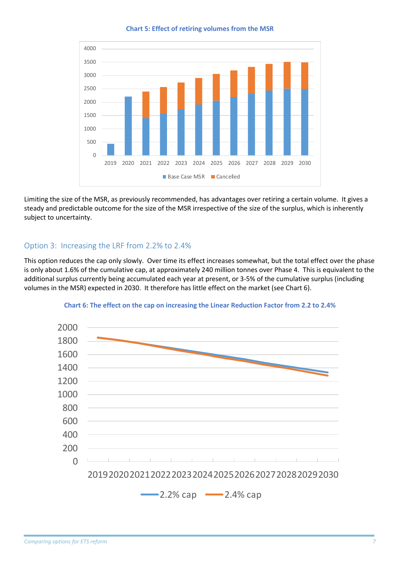**Chart 5: Effect of retiring volumes from the MSR**



Limiting the size of the MSR, as previously recommended, has advantages over retiring a certain volume. It gives a steady and predictable outcome for the size of the MSR irrespective of the size of the surplus, which is inherently subject to uncertainty.

## Option 3: Increasing the LRF from 2.2% to 2.4%

This option reduces the cap only slowly. Over time its effect increases somewhat, but the total effect over the phase is only about 1.6% of the cumulative cap, at approximately 240 million tonnes over Phase 4. This is equivalent to the additional surplus currently being accumulated each year at present, or 3-5% of the cumulative surplus (including volumes in the MSR) expected in 2030. It therefore has little effect on the market (see Chart 6).



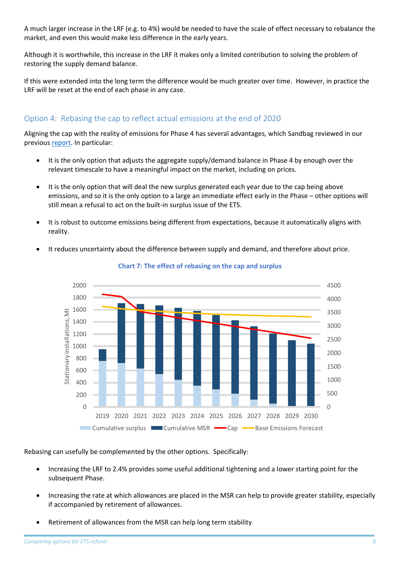A much larger increase in the LRF (e.g. to 4%) would be needed to have the scale of effect necessary to rebalance the market, and even this would make less difference in the early years.

Although it is worthwhile, this increase in the LRF it makes only a limited contribution to solving the problem of restoring the supply demand balance.

If this were extended into the long term the difference would be much greater over time. However, in practice the LRF will be reset at the end of each phase in any case.

## Option 4: Rebasing the cap to reflect actual emissions at the end of 2020

Aligning the cap with the reality of emissions for Phase 4 has several advantages, which Sandbag reviewed in our previous [report.](https://sandbag.org.uk/site_media/pdfs/reports/Sandbag_Realiging_EUETS_Ph4_cap.pdf) In particular:

- It is the only option that adjusts the aggregate supply/demand balance in Phase 4 by enough over the relevant timescale to have a meaningful impact on the market, including on prices.
- It is the only option that will deal the new surplus generated each year due to the cap being above emissions, and so it is the only option to a large an immediate effect early in the Phase – other options will still mean a refusal to act on the built-in surplus issue of the ETS.
- It is robust to outcome emissions being different from expectations, because it automatically aligns with reality.
- It reduces uncertainty about the difference between supply and demand, and therefore about price.



**Chart 7: The effect of rebasing on the cap and surplus**

Rebasing can usefully be complemented by the other options. Specifically:

- Increasing the LRF to 2.4% provides some useful additional tightening and a lower starting point for the subsequent Phase.
- Increasing the rate at which allowances are placed in the MSR can help to provide greater stability, especially if accompanied by retirement of allowances.
- Retirement of allowances from the MSR can help long term stability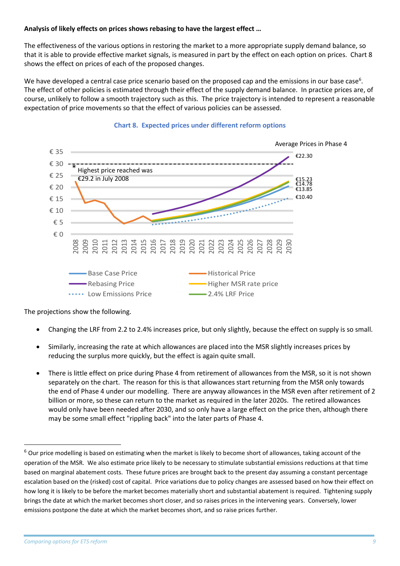## **Analysis of likely effects on prices shows rebasing to have the largest effect …**

The effectiveness of the various options in restoring the market to a more appropriate supply demand balance, so that it is able to provide effective market signals, is measured in part by the effect on each option on prices. Chart 8 shows the effect on prices of each of the proposed changes.

We have developed a central case price scenario based on the proposed cap and the emissions in our base case<sup>6</sup>. The effect of other policies is estimated through their effect of the supply demand balance. In practice prices are, of course, unlikely to follow a smooth trajectory such as this. The price trajectory is intended to represent a reasonable expectation of price movements so that the effect of various policies can be assessed.



#### **Chart 8. Expected prices under different reform options**

The projections show the following.

- Changing the LRF from 2.2 to 2.4% increases price, but only slightly, because the effect on supply is so small.
- Similarly, increasing the rate at which allowances are placed into the MSR slightly increases prices by reducing the surplus more quickly, but the effect is again quite small.
- There is little effect on price during Phase 4 from retirement of allowances from the MSR, so it is not shown separately on the chart. The reason for this is that allowances start returning from the MSR only towards the end of Phase 4 under our modelling. There are anyway allowances in the MSR even after retirement of 2 billion or more, so these can return to the market as required in the later 2020s. The retired allowances would only have been needed after 2030, and so only have a large effect on the price then, although there may be some small effect "rippling back" into the later parts of Phase 4.

1

<sup>&</sup>lt;sup>6</sup> Our price modelling is based on estimating when the market is likely to become short of allowances, taking account of the operation of the MSR. We also estimate price likely to be necessary to stimulate substantial emissions reductions at that time based on marginal abatement costs. These future prices are brought back to the present day assuming a constant percentage escalation based on the (risked) cost of capital. Price variations due to policy changes are assessed based on how their effect on how long it is likely to be before the market becomes materially short and substantial abatement is required. Tightening supply brings the date at which the market becomes short closer, and so raises prices in the intervening years. Conversely, lower emissions postpone the date at which the market becomes short, and so raise prices further.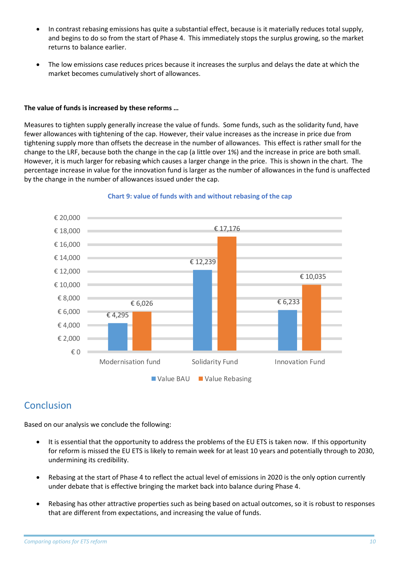- In contrast rebasing emissions has quite a substantial effect, because is it materially reduces total supply, and begins to do so from the start of Phase 4. This immediately stops the surplus growing, so the market returns to balance earlier.
- The low emissions case reduces prices because it increases the surplus and delays the date at which the market becomes cumulatively short of allowances.

### **The value of funds is increased by these reforms …**

Measures to tighten supply generally increase the value of funds. Some funds, such as the solidarity fund, have fewer allowances with tightening of the cap. However, their value increases as the increase in price due from tightening supply more than offsets the decrease in the number of allowances. This effect is rather small for the change to the LRF, because both the change in the cap (a little over 1%) and the increase in price are both small. However, it is much larger for rebasing which causes a larger change in the price. This is shown in the chart. The percentage increase in value for the innovation fund is larger as the number of allowances in the fund is unaffected by the change in the number of allowances issued under the cap.



### **Chart 9: value of funds with and without rebasing of the cap**

## Conclusion

Based on our analysis we conclude the following:

- It is essential that the opportunity to address the problems of the EU ETS is taken now. If this opportunity for reform is missed the EU ETS is likely to remain week for at least 10 years and potentially through to 2030, undermining its credibility.
- Rebasing at the start of Phase 4 to reflect the actual level of emissions in 2020 is the only option currently under debate that is effective bringing the market back into balance during Phase 4.
- Rebasing has other attractive properties such as being based on actual outcomes, so it is robust to responses that are different from expectations, and increasing the value of funds.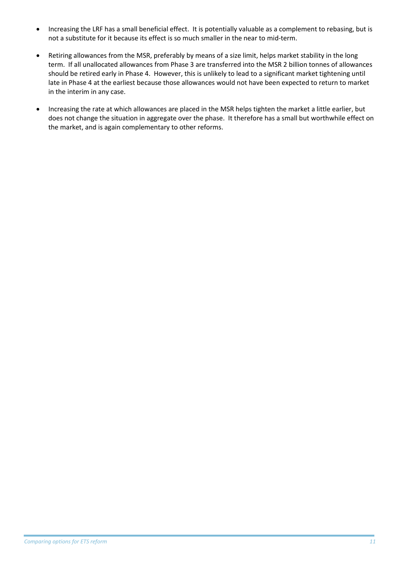- Increasing the LRF has a small beneficial effect. It is potentially valuable as a complement to rebasing, but is not a substitute for it because its effect is so much smaller in the near to mid-term.
- Retiring allowances from the MSR, preferably by means of a size limit, helps market stability in the long term. If all unallocated allowances from Phase 3 are transferred into the MSR 2 billion tonnes of allowances should be retired early in Phase 4. However, this is unlikely to lead to a significant market tightening until late in Phase 4 at the earliest because those allowances would not have been expected to return to market in the interim in any case.
- Increasing the rate at which allowances are placed in the MSR helps tighten the market a little earlier, but does not change the situation in aggregate over the phase. It therefore has a small but worthwhile effect on the market, and is again complementary to other reforms.